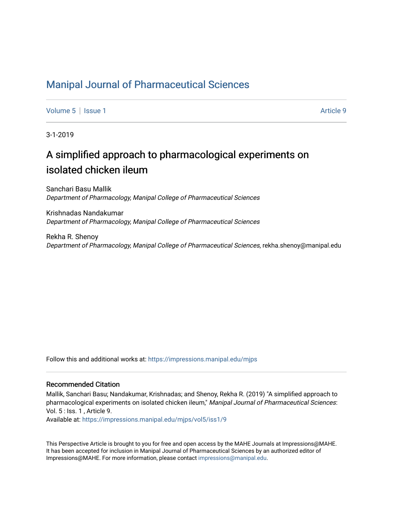### [Manipal Journal of Pharmaceutical Sciences](https://impressions.manipal.edu/mjps)

[Volume 5](https://impressions.manipal.edu/mjps/vol5) | [Issue 1](https://impressions.manipal.edu/mjps/vol5/iss1) Article 9

3-1-2019

# A simplified approach to pharmacological experiments on isolated chicken ileum

Sanchari Basu Mallik Department of Pharmacology, Manipal College of Pharmaceutical Sciences

Krishnadas Nandakumar Department of Pharmacology, Manipal College of Pharmaceutical Sciences

Rekha R. Shenoy Department of Pharmacology, Manipal College of Pharmaceutical Sciences, rekha.shenoy@manipal.edu

Follow this and additional works at: [https://impressions.manipal.edu/mjps](https://impressions.manipal.edu/mjps?utm_source=impressions.manipal.edu%2Fmjps%2Fvol5%2Fiss1%2F9&utm_medium=PDF&utm_campaign=PDFCoverPages)

#### Recommended Citation

Mallik, Sanchari Basu; Nandakumar, Krishnadas; and Shenoy, Rekha R. (2019) "A simplified approach to pharmacological experiments on isolated chicken ileum," Manipal Journal of Pharmaceutical Sciences: Vol. 5 : Iss. 1 , Article 9.

Available at: [https://impressions.manipal.edu/mjps/vol5/iss1/9](https://impressions.manipal.edu/mjps/vol5/iss1/9?utm_source=impressions.manipal.edu%2Fmjps%2Fvol5%2Fiss1%2F9&utm_medium=PDF&utm_campaign=PDFCoverPages)

This Perspective Article is brought to you for free and open access by the MAHE Journals at Impressions@MAHE. It has been accepted for inclusion in Manipal Journal of Pharmaceutical Sciences by an authorized editor of Impressions@MAHE. For more information, please contact [impressions@manipal.edu](mailto:impressions@manipal.edu).